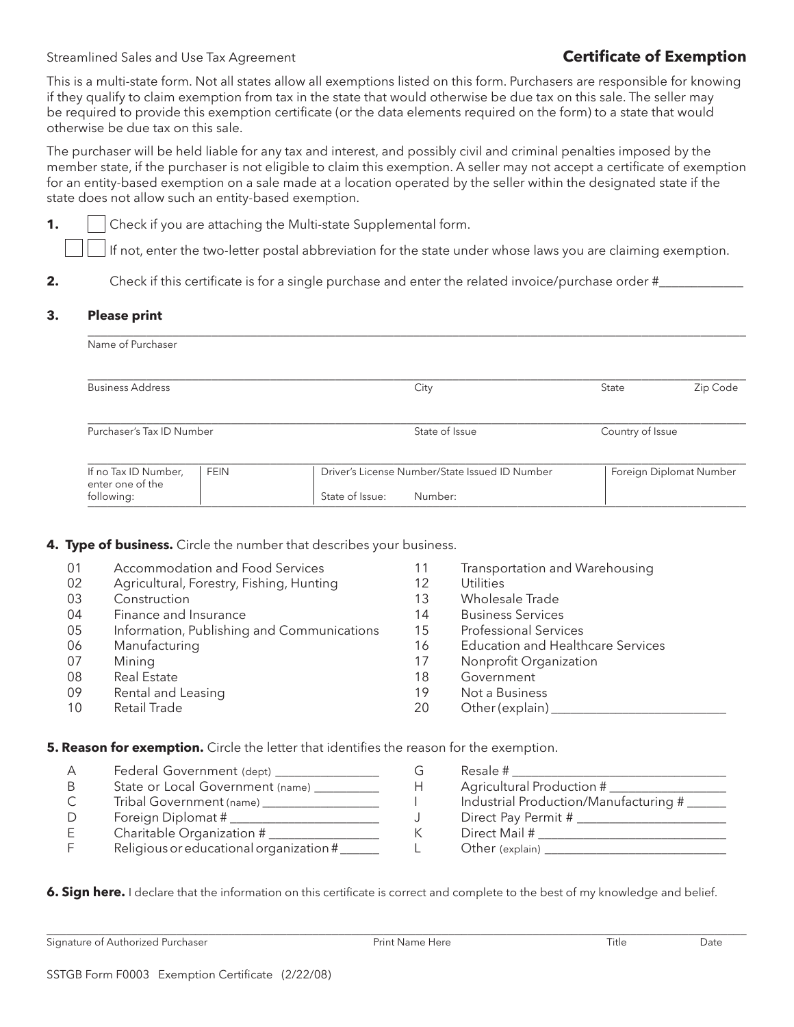Streamlined Sales and Use Tax Agreement **Certificate of Exemption** 

This is a multi-state form. Not all states allow all exemptions listed on this form. Purchasers are responsible for knowing if they qualify to claim exemption from tax in the state that would otherwise be due tax on this sale. The seller may be required to provide this exemption certificate (or the data elements required on the form) to a state that would otherwise be due tax on this sale.

The purchaser will be held liable for any tax and interest, and possibly civil and criminal penalties imposed by the member state, if the purchaser is not eligible to claim this exemption. A seller may not accept a certificate of exemption for an entity-based exemption on a sale made at a location operated by the seller within the designated state if the state does not allow such an entity-based exemption.

**1. Check if you are attaching the Multi-state Supplemental form.** 

If not, enter the two-letter postal abbreviation for the state under whose laws you are claiming exemption.

\_\_\_\_\_\_\_\_\_\_\_\_\_\_\_\_\_\_\_\_\_\_\_\_\_\_\_\_\_\_\_\_\_\_\_\_\_\_\_\_\_\_\_\_\_\_\_\_\_\_\_\_\_\_\_\_\_\_\_\_\_\_\_\_\_\_\_\_\_\_\_\_\_\_\_\_\_\_\_\_\_\_\_\_\_\_\_\_\_\_\_\_\_\_\_\_\_\_\_\_\_

**2.** Check if this certificate is for a single purchase and enter the related invoice/purchase order #\_\_\_\_\_\_\_\_\_\_\_\_\_\_\_

## **Please print 3.**

| Name of Purchaser                        |             |                                                |                  |                         |
|------------------------------------------|-------------|------------------------------------------------|------------------|-------------------------|
| <b>Business Address</b>                  |             | City                                           | State            | Zip Code                |
| Purchaser's Tax ID Number                |             | State of Issue                                 | Country of Issue |                         |
| If no Tax ID Number,<br>enter one of the | <b>FEIN</b> | Driver's License Number/State Issued ID Number |                  | Foreign Diplomat Number |
| following:                               |             | State of Issue:<br>Number:                     |                  |                         |

**4. Type of business.** Circle the number that describes your business.

| 01 | Accommodation and Food Services            | 11 | Transportation and Warehousing           |
|----|--------------------------------------------|----|------------------------------------------|
| 02 | Agricultural, Forestry, Fishing, Hunting   | 12 | Utilities                                |
| 03 | Construction                               | 13 | Wholesale Trade                          |
| 04 | Finance and Insurance                      | 14 | <b>Business Services</b>                 |
| 05 | Information, Publishing and Communications | 15 | <b>Professional Services</b>             |
| 06 | Manufacturing                              | 16 | <b>Education and Healthcare Services</b> |
| 07 | Mining                                     | 17 | Nonprofit Organization                   |
| 08 | <b>Real Estate</b>                         | 18 | Government                               |
| 09 | Rental and Leasing                         | 19 | Not a Business                           |
| 10 | Retail Trade                               | 20 | Other (explain)                          |

**5. Reason for exemption.** Circle the letter that identifies the reason for the exemption.

| А | Federal Government (dept) ___           |
|---|-----------------------------------------|
| B | State or Local Government (name) _____  |
| С | Tribal Government (name) ______         |
| D | Foreign Diplomat #                      |
| Е | Charitable Organization #               |
| F | Religious or educational organization # |
|   |                                         |

| G | Resale #                              |
|---|---------------------------------------|
| Н | Agricultural Production #             |
|   | Industrial Production/Manufacturing # |
| J | Direct Pay Permit #                   |
| К | Direct Mail #                         |
| L | Other (explain)                       |
|   |                                       |

**6. Sign here.** I declare that the information on this certificate is correct and complete to the best of my knowledge and belief.